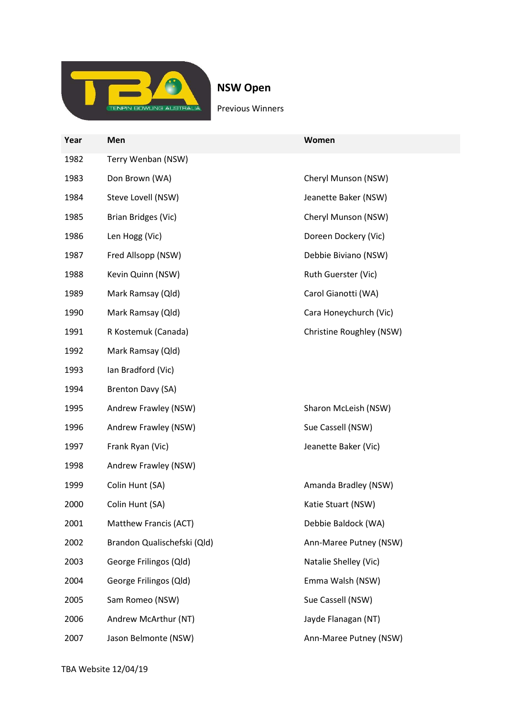

NSW Open

Previous Winners

| Year | Men                         | Women                    |
|------|-----------------------------|--------------------------|
| 1982 | Terry Wenban (NSW)          |                          |
| 1983 | Don Brown (WA)              | Cheryl Munson (NSW)      |
| 1984 | Steve Lovell (NSW)          | Jeanette Baker (NSW)     |
| 1985 | Brian Bridges (Vic)         | Cheryl Munson (NSW)      |
| 1986 | Len Hogg (Vic)              | Doreen Dockery (Vic)     |
| 1987 | Fred Allsopp (NSW)          | Debbie Biviano (NSW)     |
| 1988 | Kevin Quinn (NSW)           | Ruth Guerster (Vic)      |
| 1989 | Mark Ramsay (Qld)           | Carol Gianotti (WA)      |
| 1990 | Mark Ramsay (Qld)           | Cara Honeychurch (Vic)   |
| 1991 | R Kostemuk (Canada)         | Christine Roughley (NSW) |
| 1992 | Mark Ramsay (Qld)           |                          |
| 1993 | Ian Bradford (Vic)          |                          |
| 1994 | Brenton Davy (SA)           |                          |
| 1995 | Andrew Frawley (NSW)        | Sharon McLeish (NSW)     |
| 1996 | Andrew Frawley (NSW)        | Sue Cassell (NSW)        |
| 1997 | Frank Ryan (Vic)            | Jeanette Baker (Vic)     |
| 1998 | Andrew Frawley (NSW)        |                          |
| 1999 | Colin Hunt (SA)             | Amanda Bradley (NSW)     |
| 2000 | Colin Hunt (SA)             | Katie Stuart (NSW)       |
| 2001 | Matthew Francis (ACT)       | Debbie Baldock (WA)      |
| 2002 | Brandon Qualischefski (Qld) | Ann-Maree Putney (NSW)   |
| 2003 | George Frilingos (Qld)      | Natalie Shelley (Vic)    |
| 2004 | George Frilingos (Qld)      | Emma Walsh (NSW)         |
| 2005 | Sam Romeo (NSW)             | Sue Cassell (NSW)        |
| 2006 | Andrew McArthur (NT)        | Jayde Flanagan (NT)      |
| 2007 | Jason Belmonte (NSW)        | Ann-Maree Putney (NSW)   |